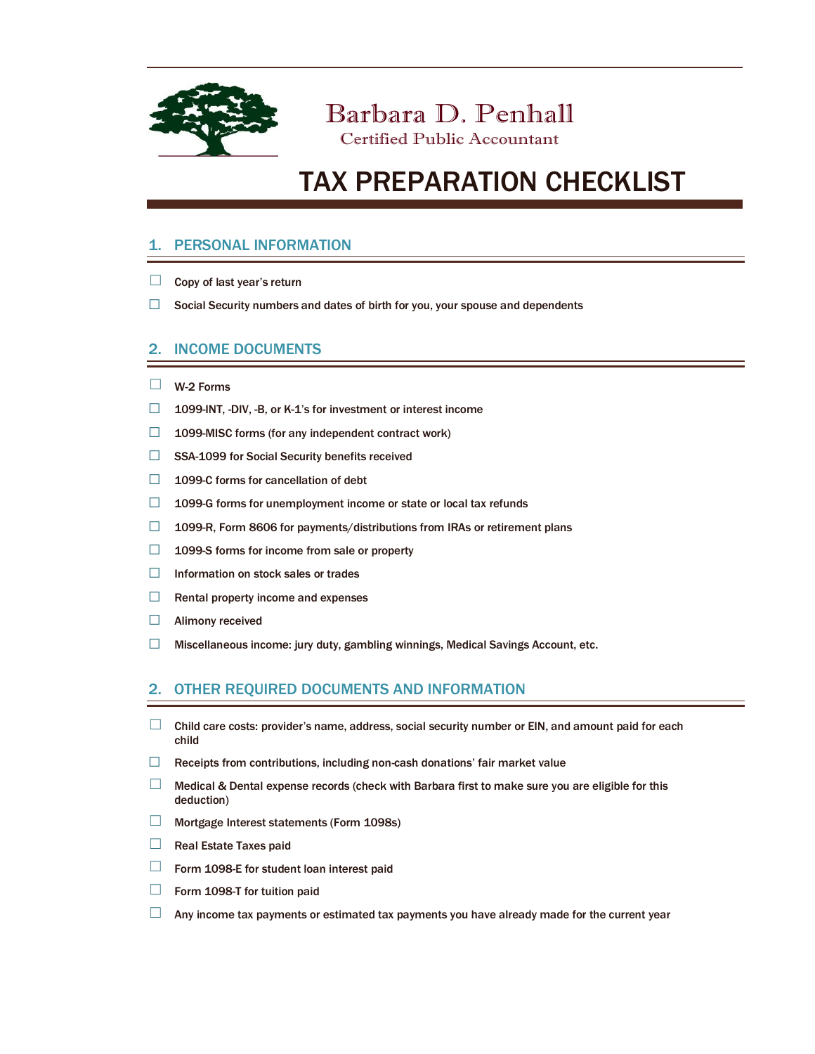

Barbara D. Penhall

## Certified Public Accountant

# TAX PREPARATION CHECKLIST

### 1. PERSONAL INFORMATION

- $\Box$  Copy of last year's return
- $\Box$  Social Security numbers and dates of birth for you, your spouse and dependents

#### 2. INCOME DOCUMENTS

- ☐ W-2 Forms
- ☐ 1099-INT, -DIV, -B, or K-1's for investment or interest income
- □ 1099-MISC forms (for any independent contract work)
- □ SSA-1099 for Social Security benefits received
- □ 1099-C forms for cancellation of debt
- □ 1099-G forms for unemployment income or state or local tax refunds
- □ 1099-R, Form 8606 for payments/distributions from IRAs or retirement plans
- $\Box$  1099-S forms for income from sale or property
- ☐ Information on stock sales or trades
- $\Box$  Rental property income and expenses
- □ Alimony received
- ☐ Miscellaneous income: jury duty, gambling winnings, Medical Savings Account, etc.

#### 2. OTHER REQUIRED DOCUMENTS AND INFORMATION

- $\Box$  Child care costs: provider's name, address, social security number or EIN, and amount paid for each child
- □ Receipts from contributions, including non-cash donations' fair market value
- ☐ Medical & Dental expense records (check with Barbara first to make sure you are eligible for this deduction)
- ☐ Mortgage Interest statements (Form 1098s)
- □ Real Estate Taxes paid
- $\Box$  Form 1098-E for student loan interest paid
- $\Box$  Form 1098-T for tuition paid
- $\Box$  Any income tax payments or estimated tax payments you have already made for the current year